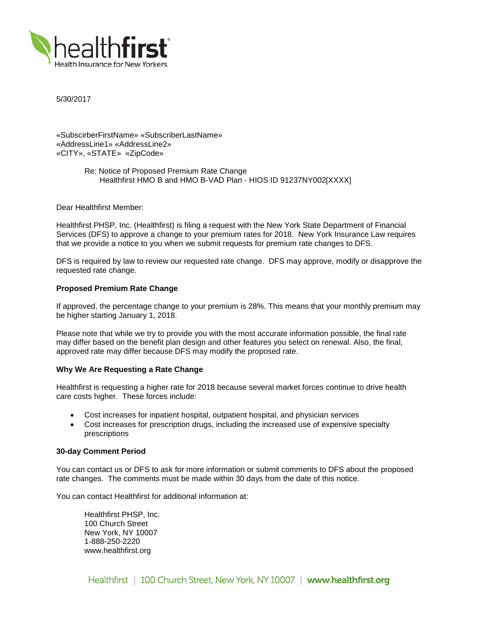

5/30/2017

«SubscirberFirstName» «SubscriberLastName» «AddressLine1» «AddressLine2» «CITY», «STATE» «ZipCode»

> Re: Notice of Proposed Premium Rate Change Healthfirst HMO B and HMO B-VAD Plan - HIOS ID 91237NY002[XXXX]

Dear Healthfirst Member:

Healthfirst PHSP, Inc. (Healthfirst) is filing a request with the New York State Department of Financial Services (DFS) to approve a change to your premium rates for 2018. New York Insurance Law requires that we provide a notice to you when we submit requests for premium rate changes to DFS.

DFS is required by law to review our requested rate change. DFS may approve, modify or disapprove the requested rate change.

## **Proposed Premium Rate Change**

If approved, the percentage change to your premium is 28%. This means that your monthly premium may be higher starting January 1, 2018.

Please note that while we try to provide you with the most accurate information possible, the final rate may differ based on the benefit plan design and other features you select on renewal. Also, the final, approved rate may differ because DFS may modify the proposed rate.

#### **Why We Are Requesting a Rate Change**

Healthfirst is requesting a higher rate for 2018 because several market forces continue to drive health care costs higher. These forces include:

- Cost increases for inpatient hospital, outpatient hospital, and physician services
- Cost increases for prescription drugs, including the increased use of expensive specialty prescriptions

### **30-day Comment Period**

You can contact us or DFS to ask for more information or submit comments to DFS about the proposed rate changes. The comments must be made within 30 days from the date of this notice.

You can contact Healthfirst for additional information at:

Healthfirst PHSP, Inc. 100 Church Street New York, NY 10007 1-888-250-2220 www.healthfirst.org